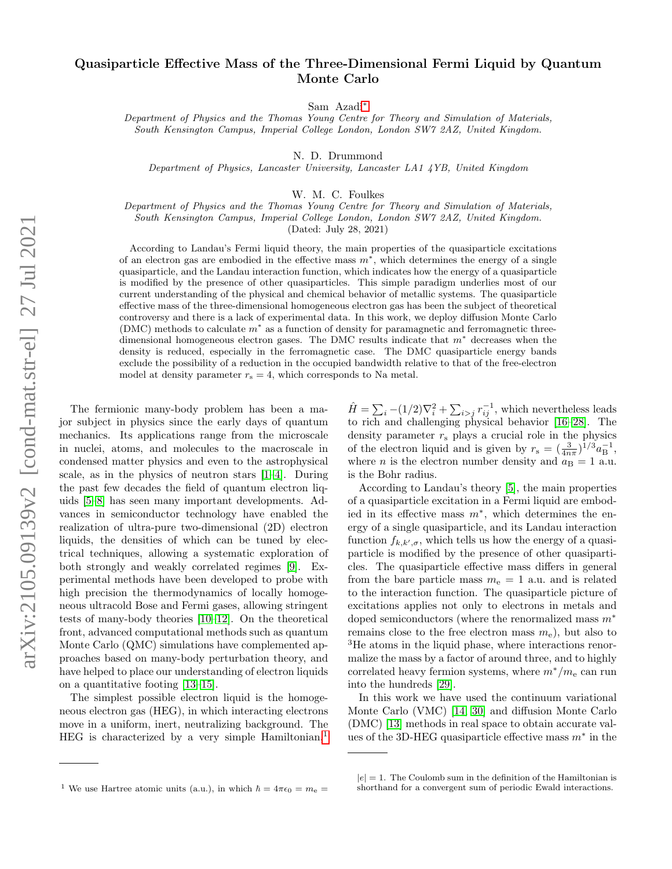## Quasiparticle Effective Mass of the Three-Dimensional Fermi Liquid by Quantum Monte Carlo

Sam Azadi[∗](#page-4-0)

Department of Physics and the Thomas Young Centre for Theory and Simulation of Materials, South Kensington Campus, Imperial College London, London SW7 2AZ, United Kingdom.

N. D. Drummond

Department of Physics, Lancaster University, Lancaster LA1 4YB, United Kingdom

W. M. C. Foulkes

Department of Physics and the Thomas Young Centre for Theory and Simulation of Materials, South Kensington Campus, Imperial College London, London SW7 2AZ, United Kingdom.

(Dated: July 28, 2021)

According to Landau's Fermi liquid theory, the main properties of the quasiparticle excitations of an electron gas are embodied in the effective mass  $m^*$ , which determines the energy of a single quasiparticle, and the Landau interaction function, which indicates how the energy of a quasiparticle is modified by the presence of other quasiparticles. This simple paradigm underlies most of our current understanding of the physical and chemical behavior of metallic systems. The quasiparticle effective mass of the three-dimensional homogeneous electron gas has been the subject of theoretical controversy and there is a lack of experimental data. In this work, we deploy diffusion Monte Carlo (DMC) methods to calculate  $m^*$  as a function of density for paramagnetic and ferromagnetic threedimensional homogeneous electron gases. The DMC results indicate that  $m^*$  decreases when the density is reduced, especially in the ferromagnetic case. The DMC quasiparticle energy bands exclude the possibility of a reduction in the occupied bandwidth relative to that of the free-electron model at density parameter  $r_s = 4$ , which corresponds to Na metal.

The fermionic many-body problem has been a major subject in physics since the early days of quantum mechanics. Its applications range from the microscale in nuclei, atoms, and molecules to the macroscale in condensed matter physics and even to the astrophysical scale, as in the physics of neutron stars [\[1](#page-4-1)[–4\]](#page-4-2). During the past few decades the field of quantum electron liquids [\[5](#page-4-3)[–8\]](#page-4-4) has seen many important developments. Advances in semiconductor technology have enabled the realization of ultra-pure two-dimensional (2D) electron liquids, the densities of which can be tuned by electrical techniques, allowing a systematic exploration of both strongly and weakly correlated regimes [\[9\]](#page-4-5). Experimental methods have been developed to probe with high precision the thermodynamics of locally homogeneous ultracold Bose and Fermi gases, allowing stringent tests of many-body theories [\[10](#page-4-6)[–12\]](#page-4-7). On the theoretical front, advanced computational methods such as quantum Monte Carlo (QMC) simulations have complemented approaches based on many-body perturbation theory, and have helped to place our understanding of electron liquids on a quantitative footing [\[13–](#page-4-8)[15\]](#page-4-9).

The simplest possible electron liquid is the homogeneous electron gas (HEG), in which interacting electrons move in a uniform, inert, neutralizing background. The HEG is characterized by a very simple Hamiltonian,<sup>[1](#page-0-0)</sup>

 $\hat{H} = \sum_{i} -(1/2)\nabla_i^2 + \sum_{i>j} r_{ij}^{-1}$ , which nevertheless leads to rich and challenging physical behavior [\[16](#page-4-10)[–28\]](#page-5-0). The density parameter  $r<sub>s</sub>$  plays a crucial role in the physics of the electron liquid and is given by  $r_s = \left(\frac{3}{4n\pi}\right)^{1/3} a_B^{-1}$ , where *n* is the electron number density and  $a_B = 1$  a.u. is the Bohr radius.

According to Landau's theory [\[5\]](#page-4-3), the main properties of a quasiparticle excitation in a Fermi liquid are embodied in its effective mass  $m^*$ , which determines the energy of a single quasiparticle, and its Landau interaction function  $f_{k,k',\sigma}$ , which tells us how the energy of a quasiparticle is modified by the presence of other quasiparticles. The quasiparticle effective mass differs in general from the bare particle mass  $m_e = 1$  a.u. and is related to the interaction function. The quasiparticle picture of excitations applies not only to electrons in metals and doped semiconductors (where the renormalized mass  $m^*$ remains close to the free electron mass  $m_e$ ), but also to <sup>3</sup>He atoms in the liquid phase, where interactions renormalize the mass by a factor of around three, and to highly correlated heavy fermion systems, where  $m^*/m_e$  can run into the hundreds [\[29\]](#page-5-1).

In this work we have used the continuum variational Monte Carlo (VMC) [\[14,](#page-4-11) [30\]](#page-5-2) and diffusion Monte Carlo (DMC) [\[13\]](#page-4-8) methods in real space to obtain accurate values of the 3D-HEG quasiparticle effective mass  $m^*$  in the

<span id="page-0-0"></span><sup>&</sup>lt;sup>1</sup> We use Hartree atomic units (a.u.), in which  $\hbar = 4\pi\epsilon_0 = m_e =$ 

 $|e| = 1$ . The Coulomb sum in the definition of the Hamiltonian is shorthand for a convergent sum of periodic Ewald interactions.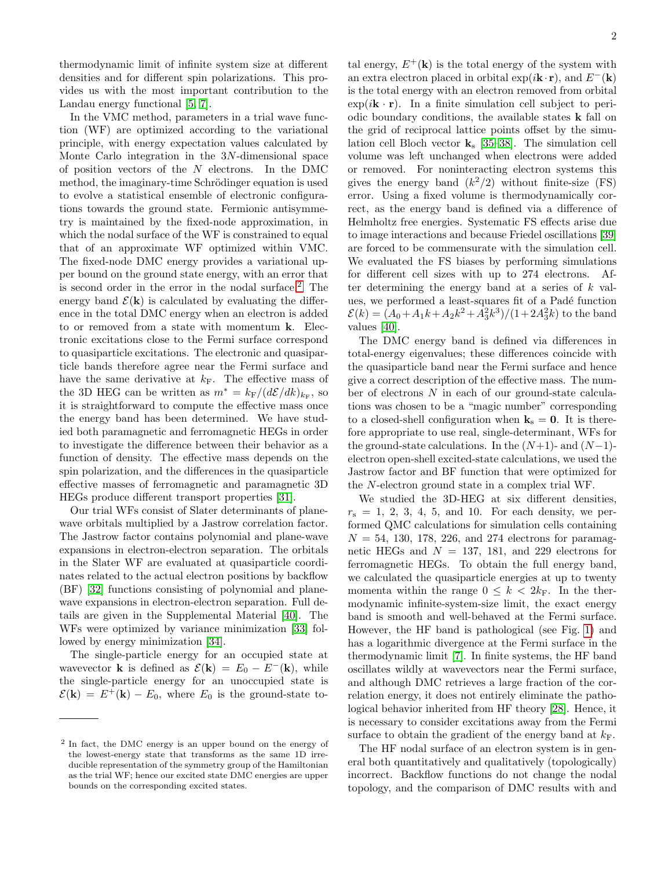thermodynamic limit of infinite system size at different densities and for different spin polarizations. This provides us with the most important contribution to the Landau energy functional [\[5,](#page-4-3) [7\]](#page-4-12).

In the VMC method, parameters in a trial wave function (WF) are optimized according to the variational principle, with energy expectation values calculated by Monte Carlo integration in the 3N-dimensional space of position vectors of the  $N$  electrons. In the DMC method, the imaginary-time Schrödinger equation is used to evolve a statistical ensemble of electronic configurations towards the ground state. Fermionic antisymmetry is maintained by the fixed-node approximation, in which the nodal surface of the WF is constrained to equal that of an approximate WF optimized within VMC. The fixed-node DMC energy provides a variational upper bound on the ground state energy, with an error that is second order in the error in the nodal surface.[2](#page-1-0) The energy band  $\mathcal{E}(\mathbf{k})$  is calculated by evaluating the difference in the total DMC energy when an electron is added to or removed from a state with momentum k. Electronic excitations close to the Fermi surface correspond to quasiparticle excitations. The electronic and quasiparticle bands therefore agree near the Fermi surface and have the same derivative at  $k_F$ . The effective mass of the 3D HEG can be written as  $m^* = k_F/(d\mathcal{E}/dk)_{k_F}$ , so it is straightforward to compute the effective mass once the energy band has been determined. We have studied both paramagnetic and ferromagnetic HEGs in order to investigate the difference between their behavior as a function of density. The effective mass depends on the spin polarization, and the differences in the quasiparticle effective masses of ferromagnetic and paramagnetic 3D HEGs produce different transport properties [\[31\]](#page-5-3).

Our trial WFs consist of Slater determinants of planewave orbitals multiplied by a Jastrow correlation factor. The Jastrow factor contains polynomial and plane-wave expansions in electron-electron separation. The orbitals in the Slater WF are evaluated at quasiparticle coordinates related to the actual electron positions by backflow (BF) [\[32\]](#page-5-4) functions consisting of polynomial and planewave expansions in electron-electron separation. Full details are given in the Supplemental Material [\[40\]](#page-5-5). The WFs were optimized by variance minimization [\[33\]](#page-5-6) followed by energy minimization [\[34\]](#page-5-7).

The single-particle energy for an occupied state at wavevector **k** is defined as  $\mathcal{E}(\mathbf{k}) = E_0 - E^{-}(\mathbf{k})$ , while the single-particle energy for an unoccupied state is  $\mathcal{E}(\mathbf{k}) = E^+(\mathbf{k}) - E_0$ , where  $E_0$  is the ground-state to-

tal energy,  $E^+({\bf k})$  is the total energy of the system with an extra electron placed in orbital  $exp(i\mathbf{k}\cdot\mathbf{r})$ , and  $E^{-}(\mathbf{k})$ is the total energy with an electron removed from orbital  $\exp(i\mathbf{k}\cdot\mathbf{r})$ . In a finite simulation cell subject to periodic boundary conditions, the available states k fall on the grid of reciprocal lattice points offset by the simulation cell Bloch vector  $k_s$  [\[35](#page-5-8)[–38\]](#page-5-9). The simulation cell volume was left unchanged when electrons were added or removed. For noninteracting electron systems this gives the energy band  $(k^2/2)$  without finite-size (FS) error. Using a fixed volume is thermodynamically correct, as the energy band is defined via a difference of Helmholtz free energies. Systematic FS effects arise due to image interactions and because Friedel oscillations [\[39\]](#page-5-10) are forced to be commensurate with the simulation cell. We evaluated the FS biases by performing simulations for different cell sizes with up to 274 electrons. After determining the energy band at a series of  $k$  values, we performed a least-squares fit of a Padé function  $\mathcal{E}(k) = (A_0 + A_1k + A_2k^2 + A_3^2k^3)/(1 + 2A_3^2k)$  to the band values [\[40\]](#page-5-5).

The DMC energy band is defined via differences in total-energy eigenvalues; these differences coincide with the quasiparticle band near the Fermi surface and hence give a correct description of the effective mass. The number of electrons N in each of our ground-state calculations was chosen to be a "magic number" corresponding to a closed-shell configuration when  $k_s = 0$ . It is therefore appropriate to use real, single-determinant, WFs for the ground-state calculations. In the  $(N+1)$ - and  $(N-1)$ electron open-shell excited-state calculations, we used the Jastrow factor and BF function that were optimized for the N-electron ground state in a complex trial WF.

We studied the 3D-HEG at six different densities,  $r<sub>s</sub> = 1, 2, 3, 4, 5, and 10.$  For each density, we performed QMC calculations for simulation cells containing  $N = 54$ , 130, 178, 226, and 274 electrons for paramagnetic HEGs and  $N = 137, 181,$  and 229 electrons for ferromagnetic HEGs. To obtain the full energy band, we calculated the quasiparticle energies at up to twenty momenta within the range  $0 \leq k < 2k_F$ . In the thermodynamic infinite-system-size limit, the exact energy band is smooth and well-behaved at the Fermi surface. However, the HF band is pathological (see Fig. [1\)](#page-3-0) and has a logarithmic divergence at the Fermi surface in the thermodynamic limit [\[7\]](#page-4-12). In finite systems, the HF band oscillates wildly at wavevectors near the Fermi surface, and although DMC retrieves a large fraction of the correlation energy, it does not entirely eliminate the pathological behavior inherited from HF theory [\[28\]](#page-5-0). Hence, it is necessary to consider excitations away from the Fermi surface to obtain the gradient of the energy band at  $k_F$ .

The HF nodal surface of an electron system is in general both quantitatively and qualitatively (topologically) incorrect. Backflow functions do not change the nodal topology, and the comparison of DMC results with and

<span id="page-1-0"></span><sup>&</sup>lt;sup>2</sup> In fact, the DMC energy is an upper bound on the energy of the lowest-energy state that transforms as the same 1D irreducible representation of the symmetry group of the Hamiltonian as the trial WF; hence our excited state DMC energies are upper bounds on the corresponding excited states.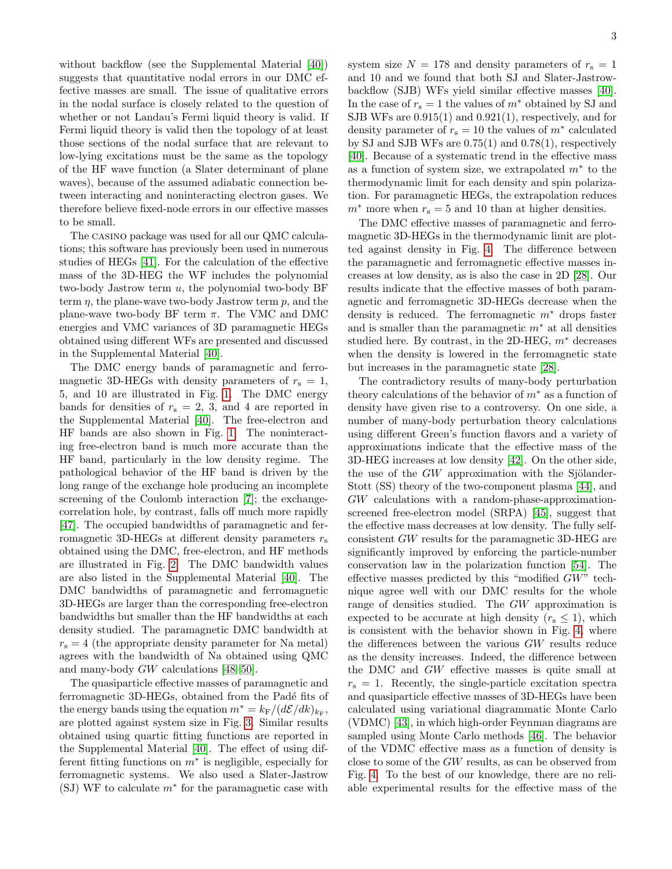without backflow (see the Supplemental Material [\[40\]](#page-5-5)) suggests that quantitative nodal errors in our DMC effective masses are small. The issue of qualitative errors in the nodal surface is closely related to the question of whether or not Landau's Fermi liquid theory is valid. If Fermi liquid theory is valid then the topology of at least those sections of the nodal surface that are relevant to low-lying excitations must be the same as the topology of the HF wave function (a Slater determinant of plane waves), because of the assumed adiabatic connection between interacting and noninteracting electron gases. We therefore believe fixed-node errors in our effective masses to be small.

The casino package was used for all our QMC calculations; this software has previously been used in numerous studies of HEGs [\[41\]](#page-5-11). For the calculation of the effective mass of the 3D-HEG the WF includes the polynomial two-body Jastrow term  $u$ , the polynomial two-body BF term  $\eta$ , the plane-wave two-body Jastrow term  $p$ , and the plane-wave two-body BF term  $\pi$ . The VMC and DMC energies and VMC variances of 3D paramagnetic HEGs obtained using different WFs are presented and discussed in the Supplemental Material [\[40\]](#page-5-5).

The DMC energy bands of paramagnetic and ferromagnetic 3D-HEGs with density parameters of  $r_s = 1$ , 5, and 10 are illustrated in Fig. [1.](#page-3-0) The DMC energy bands for densities of  $r_s = 2, 3,$  and 4 are reported in the Supplemental Material [\[40\]](#page-5-5). The free-electron and HF bands are also shown in Fig. [1.](#page-3-0) The noninteracting free-electron band is much more accurate than the HF band, particularly in the low density regime. The pathological behavior of the HF band is driven by the long range of the exchange hole producing an incomplete screening of the Coulomb interaction [\[7\]](#page-4-12); the exchangecorrelation hole, by contrast, falls off much more rapidly [\[47\]](#page-5-12). The occupied bandwidths of paramagnetic and ferromagnetic 3D-HEGs at different density parameters  $r_s$ obtained using the DMC, free-electron, and HF methods are illustrated in Fig. [2.](#page-3-1) The DMC bandwidth values are also listed in the Supplemental Material [\[40\]](#page-5-5). The DMC bandwidths of paramagnetic and ferromagnetic 3D-HEGs are larger than the corresponding free-electron bandwidths but smaller than the HF bandwidths at each density studied. The paramagnetic DMC bandwidth at  $r<sub>s</sub> = 4$  (the appropriate density parameter for Na metal) agrees with the bandwidth of Na obtained using QMC and many-body GW calculations [\[48–](#page-5-13)[50\]](#page-5-14).

The quasiparticle effective masses of paramagnetic and ferromagnetic 3D-HEGs, obtained from the Padé fits of the energy bands using the equation  $m^* = k_F/(d\mathcal{E}/dk)_{k_F}$ , are plotted against system size in Fig. [3.](#page-4-13) Similar results obtained using quartic fitting functions are reported in the Supplemental Material [\[40\]](#page-5-5). The effect of using different fitting functions on  $m^*$  is negligible, especially for ferromagnetic systems. We also used a Slater-Jastrow (SJ) WF to calculate  $m^*$  for the paramagnetic case with

system size  $N = 178$  and density parameters of  $r_s = 1$ and 10 and we found that both SJ and Slater-Jastrowbackflow (SJB) WFs yield similar effective masses [\[40\]](#page-5-5). In the case of  $r_s = 1$  the values of  $m^*$  obtained by SJ and SJB WFs are 0.915(1) and 0.921(1), respectively, and for density parameter of  $r_s = 10$  the values of  $m^*$  calculated by SJ and SJB WFs are 0.75(1) and 0.78(1), respectively [\[40\]](#page-5-5). Because of a systematic trend in the effective mass as a function of system size, we extrapolated  $m^*$  to the thermodynamic limit for each density and spin polarization. For paramagnetic HEGs, the extrapolation reduces  $m^*$  more when  $r_s = 5$  and 10 than at higher densities.

The DMC effective masses of paramagnetic and ferromagnetic 3D-HEGs in the thermodynamic limit are plotted against density in Fig. [4.](#page-4-14) The difference between the paramagnetic and ferromagnetic effective masses increases at low density, as is also the case in 2D [\[28\]](#page-5-0). Our results indicate that the effective masses of both paramagnetic and ferromagnetic 3D-HEGs decrease when the density is reduced. The ferromagnetic  $m^*$  drops faster and is smaller than the paramagnetic  $m^*$  at all densities studied here. By contrast, in the 2D-HEG,  $m^*$  decreases when the density is lowered in the ferromagnetic state but increases in the paramagnetic state [\[28\]](#page-5-0).

The contradictory results of many-body perturbation theory calculations of the behavior of  $m^*$  as a function of density have given rise to a controversy. On one side, a number of many-body perturbation theory calculations using different Green's function flavors and a variety of approximations indicate that the effective mass of the 3D-HEG increases at low density [\[42\]](#page-5-15). On the other side, the use of the  $GW$  approximation with the Sjölander-Stott (SS) theory of the two-component plasma [\[44\]](#page-5-16), and GW calculations with a random-phase-approximationscreened free-electron model (SRPA) [\[45\]](#page-5-17), suggest that the effective mass decreases at low density. The fully selfconsistent GW results for the paramagnetic 3D-HEG are significantly improved by enforcing the particle-number conservation law in the polarization function [\[54\]](#page-5-18). The effective masses predicted by this "modified GW" technique agree well with our DMC results for the whole range of densities studied. The GW approximation is expected to be accurate at high density  $(r_s \leq 1)$ , which is consistent with the behavior shown in Fig. [4,](#page-4-14) where the differences between the various GW results reduce as the density increases. Indeed, the difference between the DMC and GW effective masses is quite small at  $r<sub>s</sub> = 1$ . Recently, the single-particle excitation spectra and quasiparticle effective masses of 3D-HEGs have been calculated using variational diagrammatic Monte Carlo (VDMC) [\[43\]](#page-5-19), in which high-order Feynman diagrams are sampled using Monte Carlo methods [\[46\]](#page-5-20). The behavior of the VDMC effective mass as a function of density is close to some of the GW results, as can be observed from Fig. [4.](#page-4-14) To the best of our knowledge, there are no reliable experimental results for the effective mass of the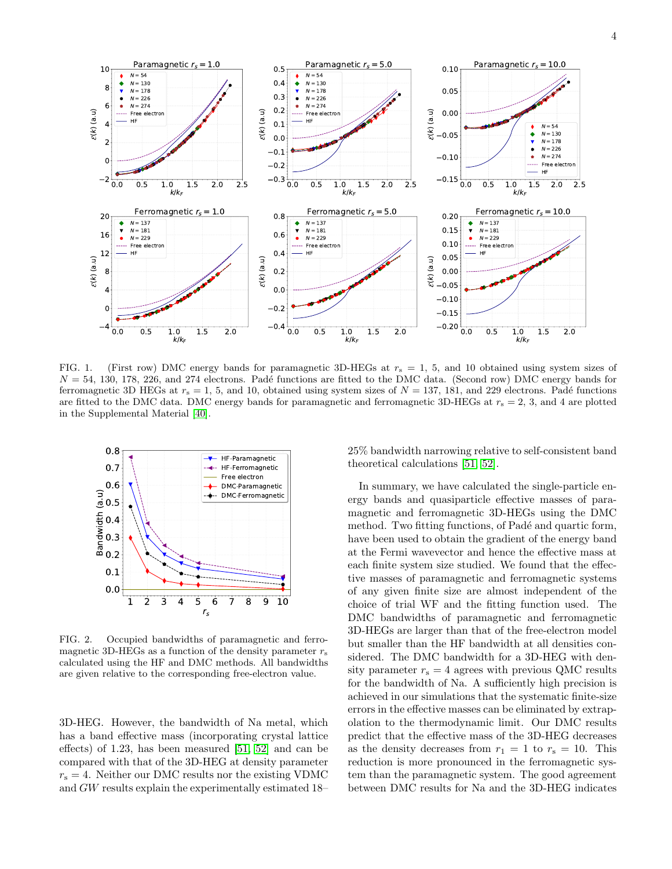

<span id="page-3-0"></span>FIG. 1. (First row) DMC energy bands for paramagnetic 3D-HEGs at  $r_s = 1, 5$ , and 10 obtained using system sizes of  $N = 54, 130, 178, 226,$  and 274 electrons. Padé functions are fitted to the DMC data. (Second row) DMC energy bands for ferromagnetic 3D HEGs at  $r_s = 1, 5$ , and 10, obtained using system sizes of  $N = 137, 181$ , and 229 electrons. Padé functions are fitted to the DMC data. DMC energy bands for paramagnetic and ferromagnetic 3D-HEGs at  $r_s = 2, 3$ , and 4 are plotted in the Supplemental Material [\[40\]](#page-5-5).



<span id="page-3-1"></span>FIG. 2. Occupied bandwidths of paramagnetic and ferromagnetic 3D-HEGs as a function of the density parameter  $r_s$ calculated using the HF and DMC methods. All bandwidths are given relative to the corresponding free-electron value.

3D-HEG. However, the bandwidth of Na metal, which has a band effective mass (incorporating crystal lattice effects) of 1.23, has been measured [\[51,](#page-5-21) [52\]](#page-5-22) and can be compared with that of the 3D-HEG at density parameter  $r_s = 4$ . Neither our DMC results nor the existing VDMC and GW results explain the experimentally estimated 18–

25% bandwidth narrowing relative to self-consistent band theoretical calculations [\[51,](#page-5-21) [52\]](#page-5-22).

In summary, we have calculated the single-particle energy bands and quasiparticle effective masses of paramagnetic and ferromagnetic 3D-HEGs using the DMC method. Two fitting functions, of Padé and quartic form, have been used to obtain the gradient of the energy band at the Fermi wavevector and hence the effective mass at each finite system size studied. We found that the effective masses of paramagnetic and ferromagnetic systems of any given finite size are almost independent of the choice of trial WF and the fitting function used. The DMC bandwidths of paramagnetic and ferromagnetic 3D-HEGs are larger than that of the free-electron model but smaller than the HF bandwidth at all densities considered. The DMC bandwidth for a 3D-HEG with density parameter  $r_s = 4$  agrees with previous QMC results for the bandwidth of Na. A sufficiently high precision is achieved in our simulations that the systematic finite-size errors in the effective masses can be eliminated by extrapolation to the thermodynamic limit. Our DMC results predict that the effective mass of the 3D-HEG decreases as the density decreases from  $r_1 = 1$  to  $r_s = 10$ . This reduction is more pronounced in the ferromagnetic system than the paramagnetic system. The good agreement between DMC results for Na and the 3D-HEG indicates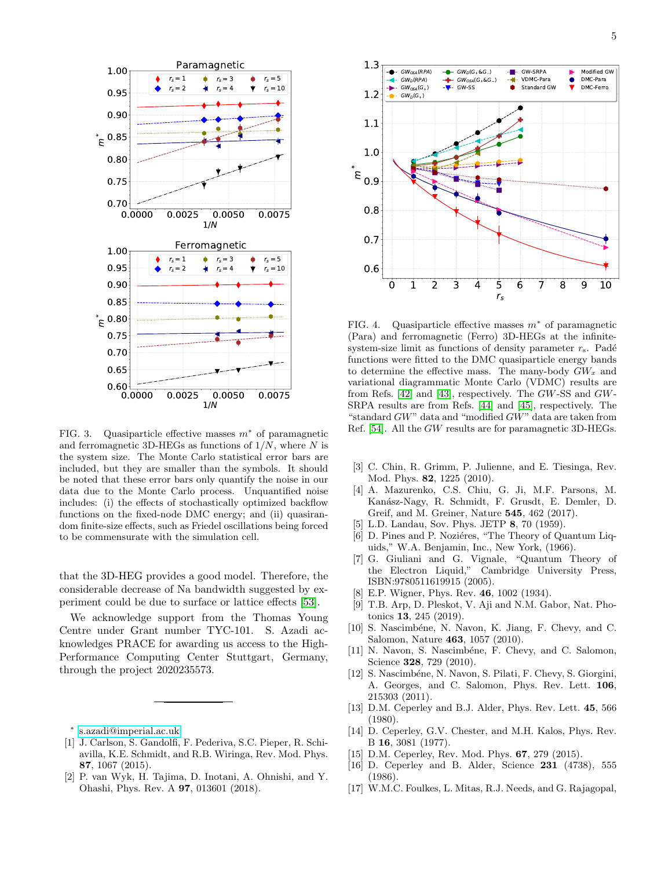

<span id="page-4-13"></span>FIG. 3. Quasiparticle effective masses  $m^*$  of paramagnetic and ferromagnetic 3D-HEGs as functions of  $1/N$ , where N is the system size. The Monte Carlo statistical error bars are included, but they are smaller than the symbols. It should be noted that these error bars only quantify the noise in our data due to the Monte Carlo process. Unquantified noise includes: (i) the effects of stochastically optimized backflow functions on the fixed-node DMC energy; and (ii) quasirandom finite-size effects, such as Friedel oscillations being forced to be commensurate with the simulation cell.

that the 3D-HEG provides a good model. Therefore, the considerable decrease of Na bandwidth suggested by experiment could be due to surface or lattice effects [\[53\]](#page-5-23).

We acknowledge support from the Thomas Young Centre under Grant number TYC-101. S. Azadi acknowledges PRACE for awarding us access to the High-Performance Computing Center Stuttgart, Germany, through the project 2020235573.

<span id="page-4-0"></span>∗ [s.azadi@imperial.ac.uk](mailto:s.azadi@imperial.ac.uk)

- <span id="page-4-1"></span>[1] J. Carlson, S. Gandolfi, F. Pederiva, S.C. Pieper, R. Schiavilla, K.E. Schmidt, and R.B. Wiringa, Rev. Mod. Phys. 87, 1067 (2015).
- [2] P. van Wyk, H. Tajima, D. Inotani, A. Ohnishi, and Y. Ohashi, Phys. Rev. A 97, 013601 (2018).



<span id="page-4-14"></span>FIG. 4. Quasiparticle effective masses  $m^*$  of paramagnetic (Para) and ferromagnetic (Ferro) 3D-HEGs at the infinitesystem-size limit as functions of density parameter  $r_s$ . Padé functions were fitted to the DMC quasiparticle energy bands to determine the effective mass. The many-body  $GW_x$  and variational diagrammatic Monte Carlo (VDMC) results are from Refs. [\[42\]](#page-5-15) and [\[43\]](#page-5-19), respectively. The GW-SS and GW-SRPA results are from Refs. [\[44\]](#page-5-16) and [\[45\]](#page-5-17), respectively. The "standard GW" data and "modified GW" data are taken from Ref. [\[54\]](#page-5-18). All the GW results are for paramagnetic 3D-HEGs.

- [3] C. Chin, R. Grimm, P. Julienne, and E. Tiesinga, Rev. Mod. Phys. 82, 1225 (2010).
- <span id="page-4-2"></span>[4] A. Mazurenko, C.S. Chiu, G. Ji, M.F. Parsons, M. Kan´asz-Nagy, R. Schmidt, F. Grusdt, E. Demler, D. Greif, and M. Greiner, Nature 545, 462 (2017).
- <span id="page-4-3"></span>[5] L.D. Landau, Sov. Phys. JETP 8, 70 (1959).
- [6] D. Pines and P. Noziéres, "The Theory of Quantum Liquids," W.A. Benjamin, Inc., New York, (1966).
- <span id="page-4-12"></span>[7] G. Giuliani and G. Vignale, "Quantum Theory of the Electron Liquid," Cambridge University Press, ISBN:9780511619915 (2005).
- <span id="page-4-4"></span>[8] E.P. Wigner, Phys. Rev. 46, 1002 (1934).
- <span id="page-4-5"></span>[9] T.B. Arp, D. Pleskot, V. Aji and N.M. Gabor, Nat. Photonics 13, 245 (2019).
- <span id="page-4-6"></span>[10] S. Nascimbéne, N. Navon, K. Jiang, F. Chevy, and C. Salomon, Nature 463, 1057 (2010).
- [11] N. Navon, S. Nascimbéne, F. Chevy, and C. Salomon, Science **328**, 729 (2010).
- <span id="page-4-7"></span>[12] S. Nascimbéne, N. Navon, S. Pilati, F. Chevy, S. Giorgini, A. Georges, and C. Salomon, Phys. Rev. Lett. 106, 215303 (2011).
- <span id="page-4-8"></span>[13] D.M. Ceperley and B.J. Alder, Phys. Rev. Lett. 45, 566 (1980).
- <span id="page-4-11"></span>[14] D. Ceperley, G.V. Chester, and M.H. Kalos, Phys. Rev. B 16, 3081 (1977).
- <span id="page-4-9"></span>[15] D.M. Ceperley, Rev. Mod. Phys. 67, 279 (2015).
- <span id="page-4-10"></span>[16] D. Ceperley and B. Alder, Science 231 (4738), 555 (1986).
- [17] W.M.C. Foulkes, L. Mitas, R.J. Needs, and G. Rajagopal,